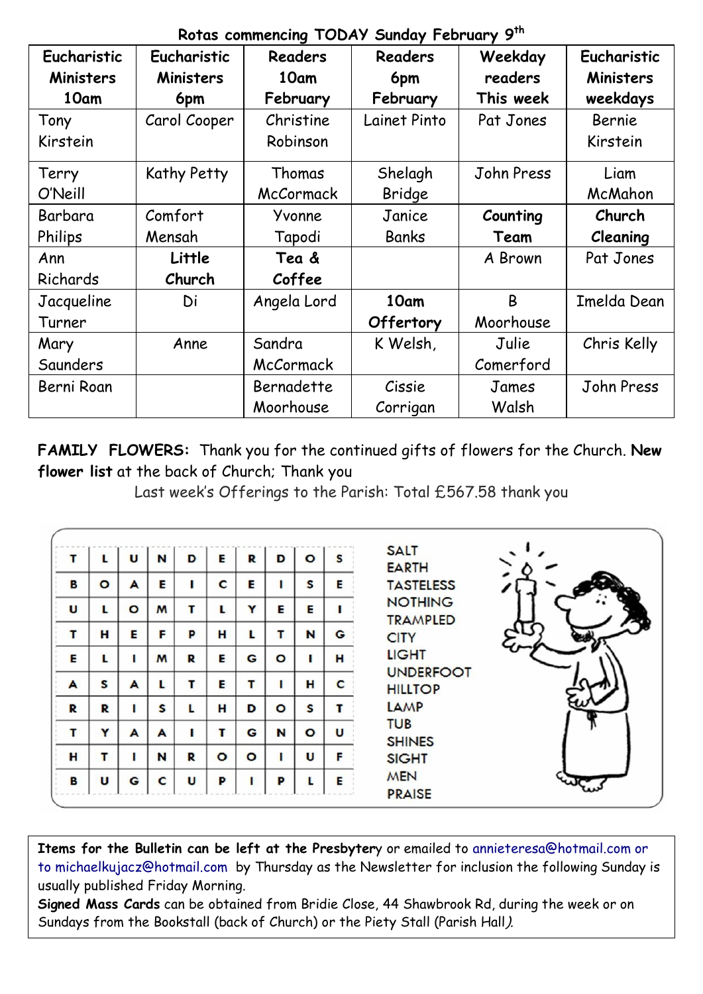|             | Rotas commencing TODAY Sunday February 9th |             |                |              |             |  |  |  |  |  |
|-------------|--------------------------------------------|-------------|----------------|--------------|-------------|--|--|--|--|--|
| Eucharistic | Eucharistic                                | Readers     | <b>Readers</b> | Weekday      | Eucharistic |  |  |  |  |  |
| Ministers   | Ministers                                  | 10am        | 6pm            | readers      | Ministers   |  |  |  |  |  |
| 10am        | 6pm                                        | February    | February       | This week    | weekdays    |  |  |  |  |  |
| Tony        | Carol Cooper                               | Christine   | Lainet Pinto   | Pat Jones    | Bernie      |  |  |  |  |  |
| Kirstein    |                                            | Robinson    |                |              | Kirstein    |  |  |  |  |  |
| Terry       | Kathy Petty                                | Thomas      | Shelagh        | John Press   | Liam        |  |  |  |  |  |
| O'Neill     |                                            | McCormack   | Bridge         |              | McMahon     |  |  |  |  |  |
| Barbara     | Comfort                                    | Yvonne      | Janice         | Counting     | Church      |  |  |  |  |  |
| Philips     | Mensah                                     | Tapodi      | Banks          | Team         | Cleaning    |  |  |  |  |  |
| Ann         | Little                                     | Tea &       |                | A Brown      | Pat Jones   |  |  |  |  |  |
| Richards    | Church                                     | Coffee      |                |              |             |  |  |  |  |  |
| Jacqueline  | Di                                         | Angela Lord | 10am           | <sub>R</sub> | Imelda Dean |  |  |  |  |  |
| Turner      |                                            |             | Offertory      | Moorhouse    |             |  |  |  |  |  |
| Mary        | Anne                                       | Sandra      | K Welsh,       | Julie        | Chris Kelly |  |  |  |  |  |
| Saunders    |                                            | McCormack   |                | Comerford    |             |  |  |  |  |  |
| Berni Roan  |                                            | Bernadette  | Cissie         | James        | John Press  |  |  |  |  |  |
|             |                                            | Moorhouse   | Corrigan       | Walsh        |             |  |  |  |  |  |

**FAMILY FLOWERS:** Thank you for the continued gifts of flowers for the Church. **New flower list** at the back of Church; Thank you

Last week's Offerings to the Parish: Total £567.58 thank you

| т | L            | U       | N | D            | Е       | R       | D       | $\circ$ | S | <b>SALT</b>                        |
|---|--------------|---------|---|--------------|---------|---------|---------|---------|---|------------------------------------|
| в | $\circ$      | A       | Е |              | C       | E       |         | S       | Е | <b>EARTH</b><br><b>TASTELESS</b>   |
| U | L            | $\circ$ | M | т            | L       | Υ       | Е       | Е       |   | <b>NOTHING</b><br><b>TRAMPLED</b>  |
| т | н            | E       | F | P            | н       | L       | т       | N       | G | <b>CITY</b>                        |
| Е | L            | п       | M | R            | Е       | G       | $\circ$ |         | н | <b>LIGHT</b>                       |
| A | $\mathsf{s}$ | A       | L | т            | Е       | т       |         | н       | C | <b>UNDERFOOT</b><br><b>HILLTOP</b> |
| R | R            |         | S |              | н       | D       | $\circ$ | S       |   | LAMP                               |
| т | Y            | A       | A |              | т       | G       | N       | $\circ$ | U | <b>TUB</b><br><b>SHINES</b>        |
| н | т            |         | N | R            | $\circ$ | $\circ$ |         | U       | F | <b>SIGHT</b>                       |
| в | U            | G       | C | $\mathbf{u}$ | P       | ı       | P       |         | E | <b>MEN</b><br><b>PRAISE</b>        |

**Items for the Bulletin can be left at the Presbyter**y or emailed to [annieteresa@hotmail.com or](mailto:annieteresa@hotmail.com%20or%20to%20michaelkujacz@hotmail.com%20%20b)  [to michaelkujacz@hotmail.com by](mailto:annieteresa@hotmail.com%20or%20to%20michaelkujacz@hotmail.com%20%20b) Thursday as the Newsletter for inclusion the following Sunday is usually published Friday Morning.

**Signed Mass Cards** can be obtained from Bridie Close, 44 Shawbrook Rd, during the week or on Sundays from the Bookstall (back of Church) or the Piety Stall (Parish Hall).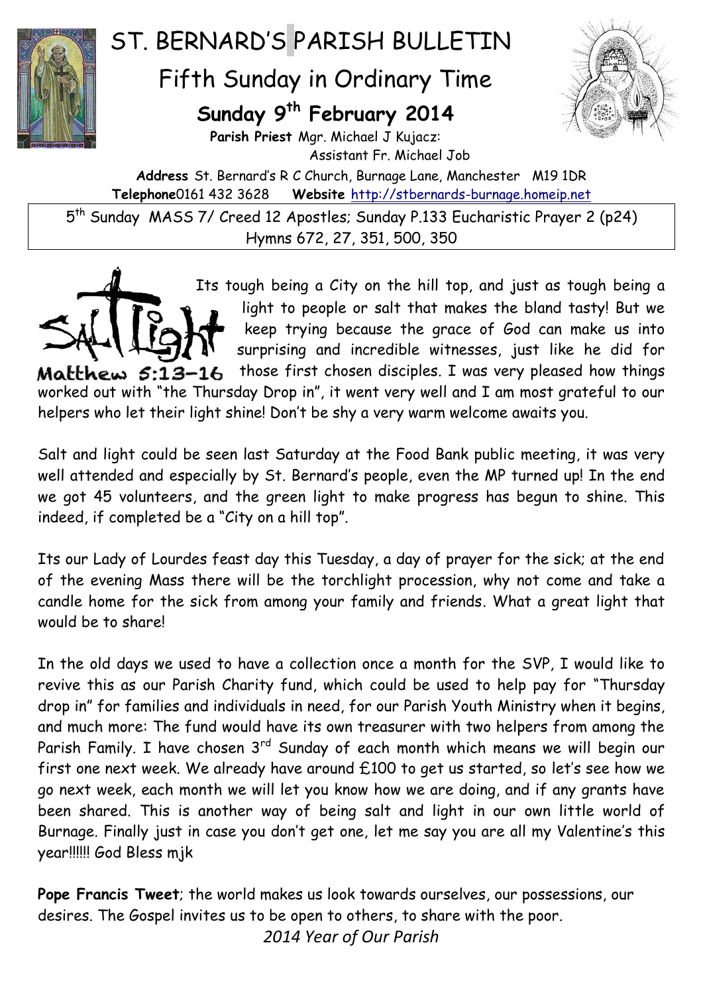

## ST. BERNARD'S PARISH BULLETIN

## Fifth Sunday in Ordinary Time

## **Sunday 9 th February 2014**



**Parish Priest** Mgr. Michael J Kujacz: Assistant Fr. Michael Job

**Address** St. Bernard's R C Church, Burnage Lane, Manchester M19 1DR **Telephone**0161 432 3628 **Website** [http://stbernards-burnage.homeip.net](http://stbernards-burnage.homeip.net/)

5 th Sunday MASS 7/ Creed 12 Apostles; Sunday P.133 Eucharistic Prayer 2 (p24) Hymns 672, 27, 351, 500, 350

Its tough being a City on the hill top, and just as tough being a light to people or salt that makes the bland tasty! But we keep trying because the grace of God can make us into surprising and incredible witnesses, just like he did for those first chosen disciples. I was very pleased how things  $M$ atthew  $5:13-16$ worked out with "the Thursday Drop in", it went very well and I am most grateful to our helpers who let their light shine! Don't be shy a very warm welcome awaits you.

Salt and light could be seen last Saturday at the Food Bank public meeting, it was very well attended and especially by St. Bernard's people, even the MP turned up! In the end we got 45 volunteers, and the green light to make progress has begun to shine. This indeed, if completed be a "City on a hill top".

Its our Lady of Lourdes feast day this Tuesday, a day of prayer for the sick; at the end of the evening Mass there will be the torchlight procession, why not come and take a candle home for the sick from among your family and friends. What a great light that would be to share!

In the old days we used to have a collection once a month for the SVP, I would like to revive this as our Parish Charity fund, which could be used to help pay for "Thursday drop in" for families and individuals in need, for our Parish Youth Ministry when it begins, and much more: The fund would have its own treasurer with two helpers from among the Parish Family. I have chosen 3<sup>rd</sup> Sunday of each month which means we will begin our first one next week. We already have around £100 to get us started, so let's see how we go next week, each month we will let you know how we are doing, and if any grants have been shared. This is another way of being salt and light in our own little world of Burnage. Finally just in case you don't get one, let me say you are all my Valentine's this year!!!!!! God Bless mjk

**Pope Francis Tweet**; the world makes us look towards ourselves, our possessions, our desires. The Gospel invites us to be open to others, to share with the poor.

*2014 Year of Our Parish*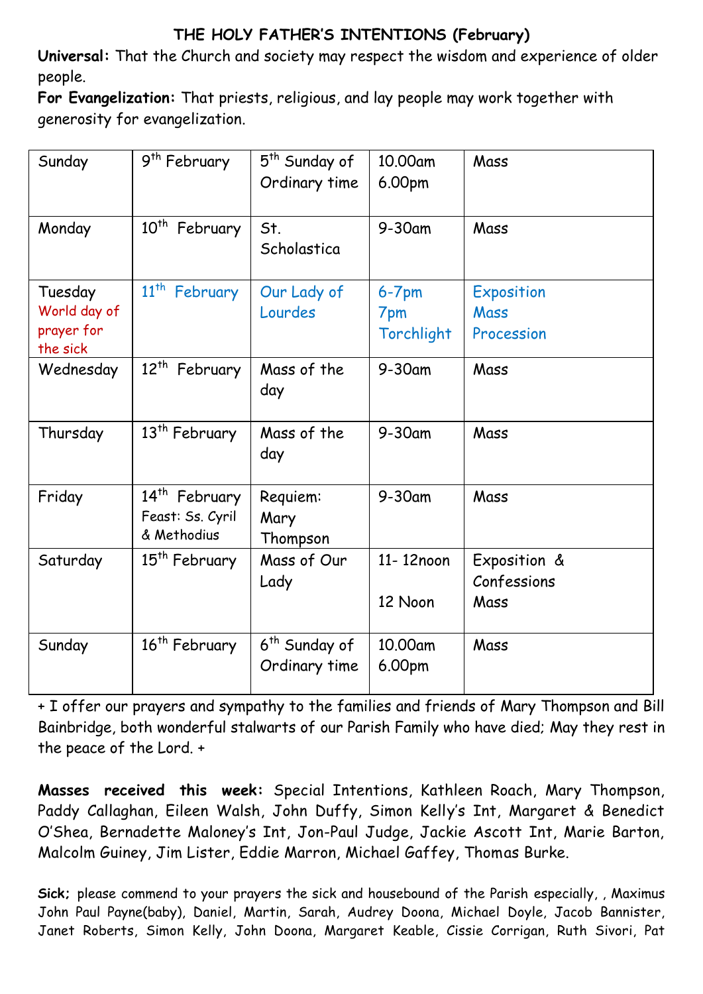## **THE HOLY FATHER'S INTENTIONS (February)**

**Universal:** That the Church and society may respect the wisdom and experience of older people.

**For Evangelization:** That priests, religious, and lay people may work together with generosity for evangelization.

| Sunday                                            | 9 <sup>th</sup> February                                     | 5 <sup>th</sup> Sunday of<br>Ordinary time | 10.00am<br>6.00pm               | Mass                                |
|---------------------------------------------------|--------------------------------------------------------------|--------------------------------------------|---------------------------------|-------------------------------------|
| Monday                                            | $10^{th}$<br>February                                        | St.<br>Scholastica                         | 9-30am                          | Mass                                |
| Tuesday<br>World day of<br>prayer for<br>the sick | $11^{th}$<br>February                                        | Our Lady of<br>Lourdes                     | $6 - 7$ pm<br>7pm<br>Torchlight | Exposition<br>Mass<br>Procession    |
| Wednesday                                         | $12^{th}$<br>February                                        | Mass of the<br>day                         | 9-30am                          | Mass                                |
| Thursday                                          | 13 <sup>th</sup> February                                    | Mass of the<br>day                         | $9-30$ am                       | Mass                                |
| Friday                                            | 14 <sup>th</sup> February<br>Feast: Ss. Cyril<br>& Methodius | Requiem:<br>Mary<br>Thompson               | $9-30$ am                       | Mass                                |
| Saturday                                          | 15 <sup>th</sup> February                                    | Mass of Our<br>Lady                        | 11-12noon<br>12 Noon            | Exposition &<br>Confessions<br>Mass |
| Sunday                                            | 16 <sup>th</sup> February                                    | 6 <sup>th</sup> Sunday of<br>Ordinary time | 10,00am<br>6.00pm               | Mass                                |

+ I offer our prayers and sympathy to the families and friends of Mary Thompson and Bill Bainbridge, both wonderful stalwarts of our Parish Family who have died; May they rest in the peace of the Lord. +

**Masses received this week:** Special Intentions, Kathleen Roach, Mary Thompson, Paddy Callaghan, Eileen Walsh, John Duffy, Simon Kelly's Int, Margaret & Benedict O'Shea, Bernadette Maloney's Int, Jon-Paul Judge, Jackie Ascott Int, Marie Barton, Malcolm Guiney, Jim Lister, Eddie Marron, Michael Gaffey, Thomas Burke.

**Sick;** please commend to your prayers the sick and housebound of the Parish especially, , Maximus John Paul Payne(baby), Daniel, Martin, Sarah, Audrey Doona, Michael Doyle, Jacob Bannister, Janet Roberts, Simon Kelly, John Doona, Margaret Keable, Cissie Corrigan, Ruth Sivori, Pat